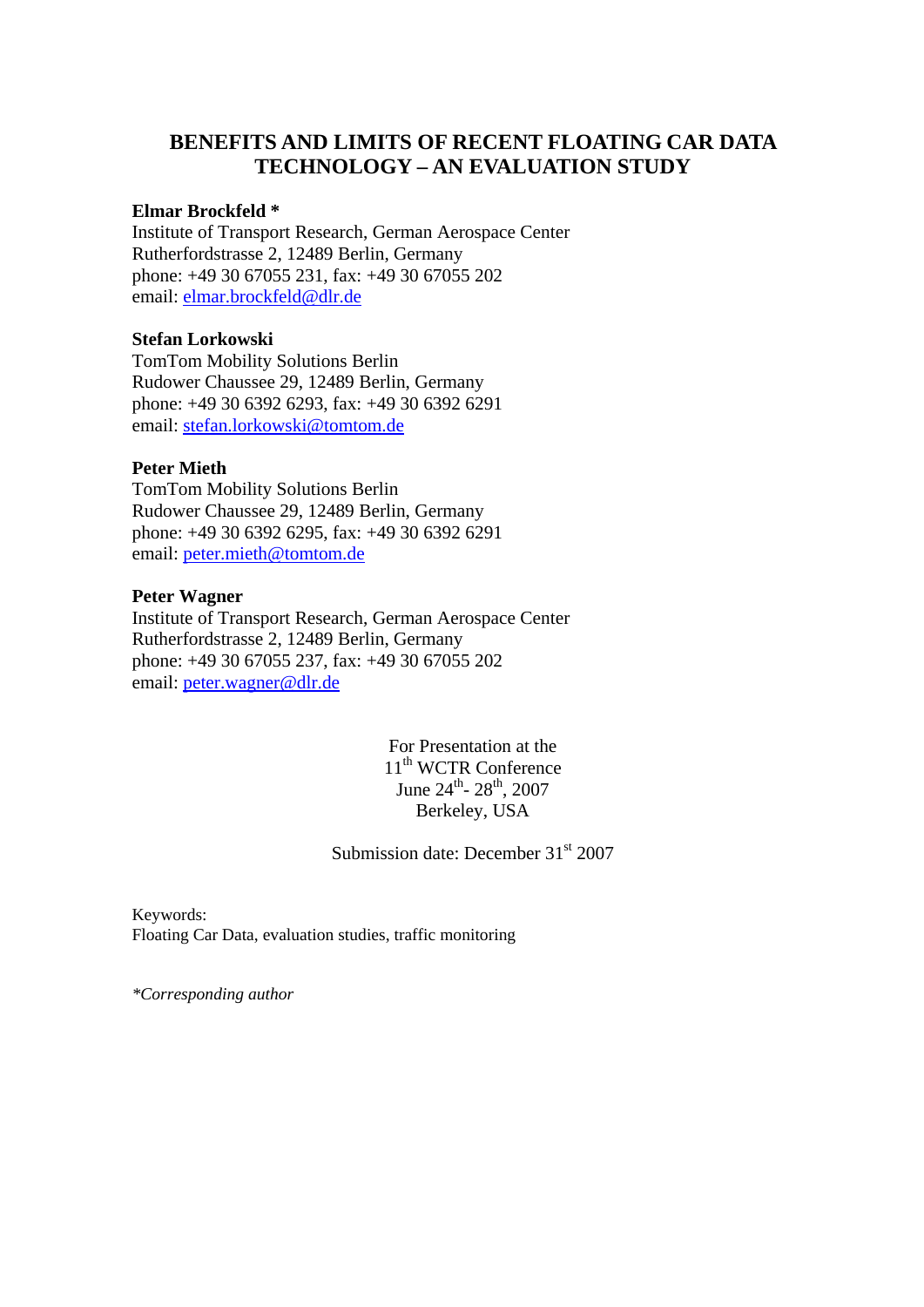# **BENEFITS AND LIMITS OF RECENT FLOATING CAR DATA TECHNOLOGY – AN EVALUATION STUDY**

### **Elmar Brockfeld \***

Institute of Transport Research, German Aerospace Center Rutherfordstrasse 2, 12489 Berlin, Germany phone: +49 30 67055 231, fax: +49 30 67055 202 email: [elmar.brockfeld@dlr.de](mailto:elmar.brockfeld@dlr.de)

#### **Stefan Lorkowski**

TomTom Mobility Solutions Berlin Rudower Chaussee 29, 12489 Berlin, Germany phone: +49 30 6392 6293, fax: +49 30 6392 6291 email: [stefan.lorkowski@tomtom.de](mailto:stefan.lorkowski@tomtom.de)

#### **Peter Mieth**

TomTom Mobility Solutions Berlin Rudower Chaussee 29, 12489 Berlin, Germany phone: +49 30 6392 6295, fax: +49 30 6392 6291 email: [peter.mieth@tomtom.de](mailto:peter.mieth@tomtom.de)

#### **Peter Wagner**

Institute of Transport Research, German Aerospace Center Rutherfordstrasse 2, 12489 Berlin, Germany phone: +49 30 67055 237, fax: +49 30 67055 202 email: [peter.wagner@dlr.de](mailto:peter.wagner@dlr.de)

> For Presentation at the 11<sup>th</sup> WCTR Conference June  $24^{\text{th}}$ -  $28^{\text{th}}$ ,  $2007$ Berkeley, USA

Submission date: December  $31<sup>st</sup>$  2007

Keywords: Floating Car Data, evaluation studies, traffic monitoring

*\*Corresponding author*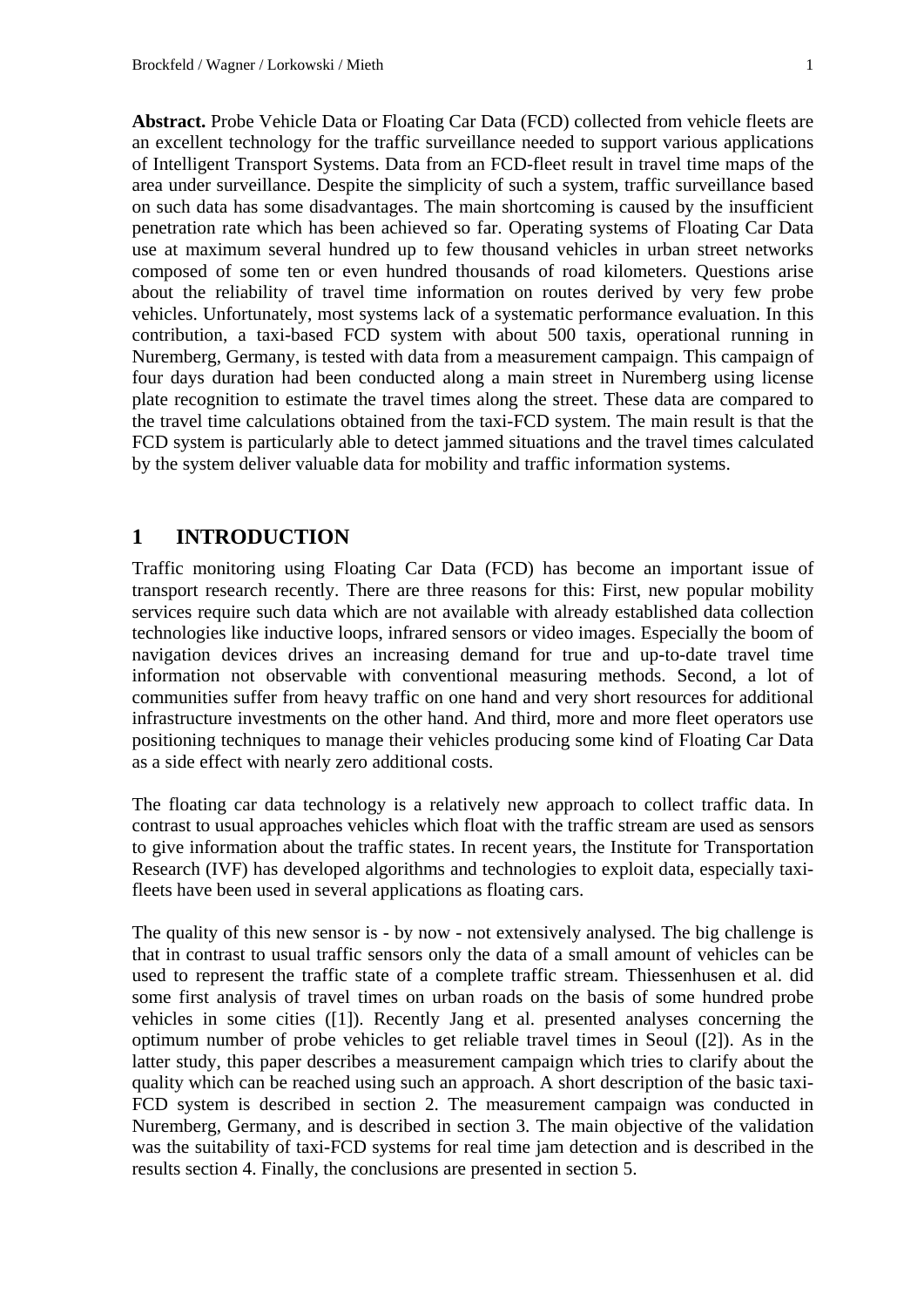**Abstract.** Probe Vehicle Data or Floating Car Data (FCD) collected from vehicle fleets are an excellent technology for the traffic surveillance needed to support various applications of Intelligent Transport Systems. Data from an FCD-fleet result in travel time maps of the area under surveillance. Despite the simplicity of such a system, traffic surveillance based on such data has some disadvantages. The main shortcoming is caused by the insufficient penetration rate which has been achieved so far. Operating systems of Floating Car Data use at maximum several hundred up to few thousand vehicles in urban street networks composed of some ten or even hundred thousands of road kilometers. Questions arise about the reliability of travel time information on routes derived by very few probe vehicles. Unfortunately, most systems lack of a systematic performance evaluation. In this contribution, a taxi-based FCD system with about 500 taxis, operational running in Nuremberg, Germany, is tested with data from a measurement campaign. This campaign of four days duration had been conducted along a main street in Nuremberg using license plate recognition to estimate the travel times along the street. These data are compared to the travel time calculations obtained from the taxi-FCD system. The main result is that the FCD system is particularly able to detect jammed situations and the travel times calculated by the system deliver valuable data for mobility and traffic information systems.

# **1 INTRODUCTION**

Traffic monitoring using Floating Car Data (FCD) has become an important issue of transport research recently. There are three reasons for this: First, new popular mobility services require such data which are not available with already established data collection technologies like inductive loops, infrared sensors or video images. Especially the boom of navigation devices drives an increasing demand for true and up-to-date travel time information not observable with conventional measuring methods. Second, a lot of communities suffer from heavy traffic on one hand and very short resources for additional infrastructure investments on the other hand. And third, more and more fleet operators use positioning techniques to manage their vehicles producing some kind of Floating Car Data as a side effect with nearly zero additional costs.

The floating car data technology is a relatively new approach to collect traffic data. In contrast to usual approaches vehicles which float with the traffic stream are used as sensors to give information about the traffic states. In recent years, the Institute for Transportation Research (IVF) has developed algorithms and technologies to exploit data, especially taxifleets have been used in several applications as floating cars.

The quality of this new sensor is - by now - not extensively analysed. The big challenge is that in contrast to usual traffic sensors only the data of a small amount of vehicles can be used to represent the traffic state of a complete traffic stream. Thiessenhusen et al. did some first analysis of travel times on urban roads on the basis of some hundred probe vehicles in some cities ([1]). Recently Jang et al. presented analyses concerning the optimum number of probe vehicles to get reliable travel times in Seoul ([2]). As in the latter study, this paper describes a measurement campaign which tries to clarify about the quality which can be reached using such an approach. A short description of the basic taxi-FCD system is described in section 2. The measurement campaign was conducted in Nuremberg, Germany, and is described in section 3. The main objective of the validation was the suitability of taxi-FCD systems for real time jam detection and is described in the results section 4. Finally, the conclusions are presented in section 5.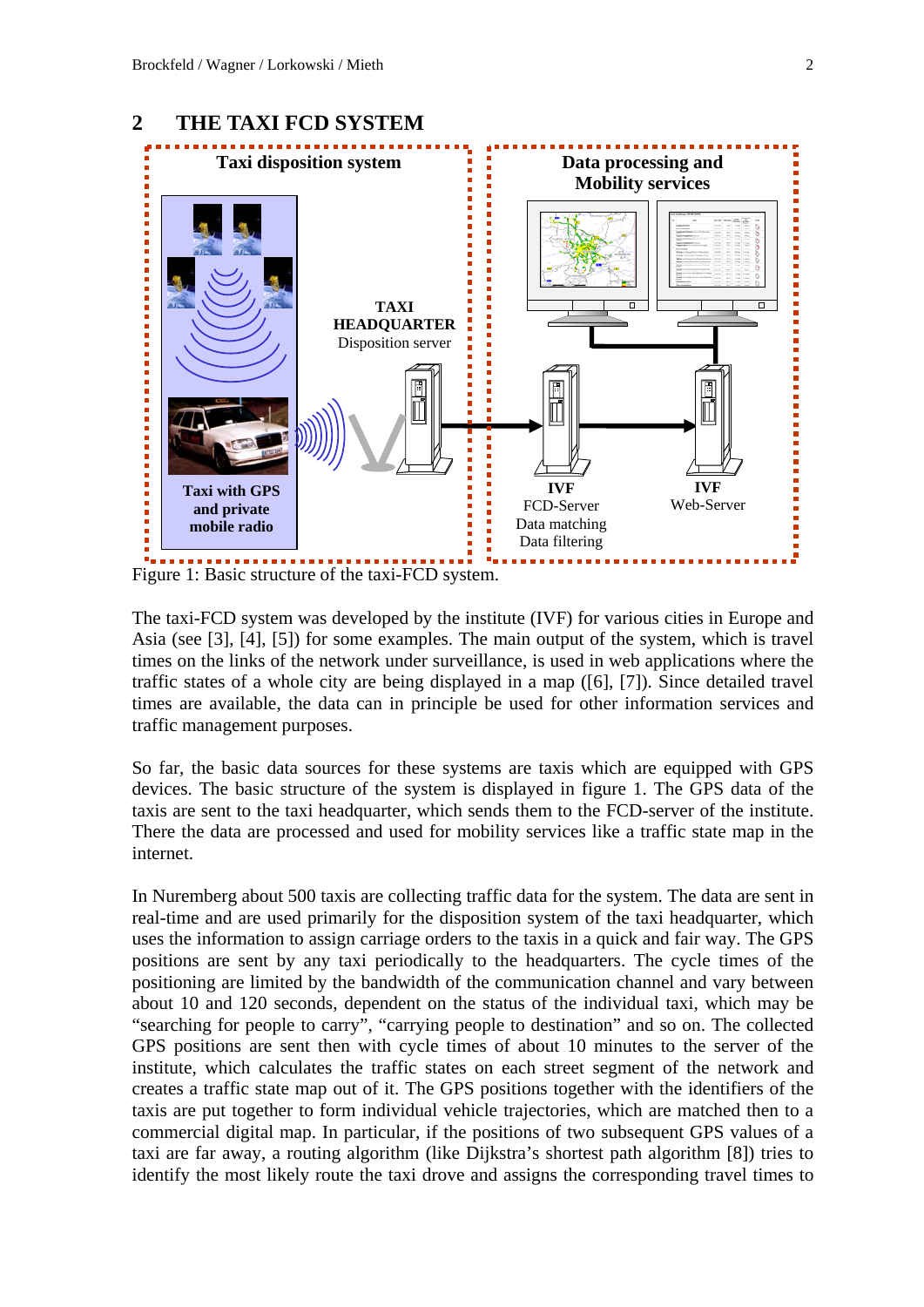

The taxi-FCD system was developed by the institute (IVF) for various cities in Europe and Asia (see [3], [4], [5]) for some examples. The main output of the system, which is travel times on the links of the network under surveillance, is used in web applications where the traffic states of a whole city are being displayed in a map ([6], [7]). Since detailed travel times are available, the data can in principle be used for other information services and traffic management purposes.

So far, the basic data sources for these systems are taxis which are equipped with GPS devices. The basic structure of the system is displayed in figure 1. The GPS data of the taxis are sent to the taxi headquarter, which sends them to the FCD-server of the institute. There the data are processed and used for mobility services like a traffic state map in the internet.

In Nuremberg about 500 taxis are collecting traffic data for the system. The data are sent in real-time and are used primarily for the disposition system of the taxi headquarter, which uses the information to assign carriage orders to the taxis in a quick and fair way. The GPS positions are sent by any taxi periodically to the headquarters. The cycle times of the positioning are limited by the bandwidth of the communication channel and vary between about 10 and 120 seconds, dependent on the status of the individual taxi, which may be "searching for people to carry", "carrying people to destination" and so on. The collected GPS positions are sent then with cycle times of about 10 minutes to the server of the institute, which calculates the traffic states on each street segment of the network and creates a traffic state map out of it. The GPS positions together with the identifiers of the taxis are put together to form individual vehicle trajectories, which are matched then to a commercial digital map. In particular, if the positions of two subsequent GPS values of a taxi are far away, a routing algorithm (like Dijkstra's shortest path algorithm [8]) tries to identify the most likely route the taxi drove and assigns the corresponding travel times to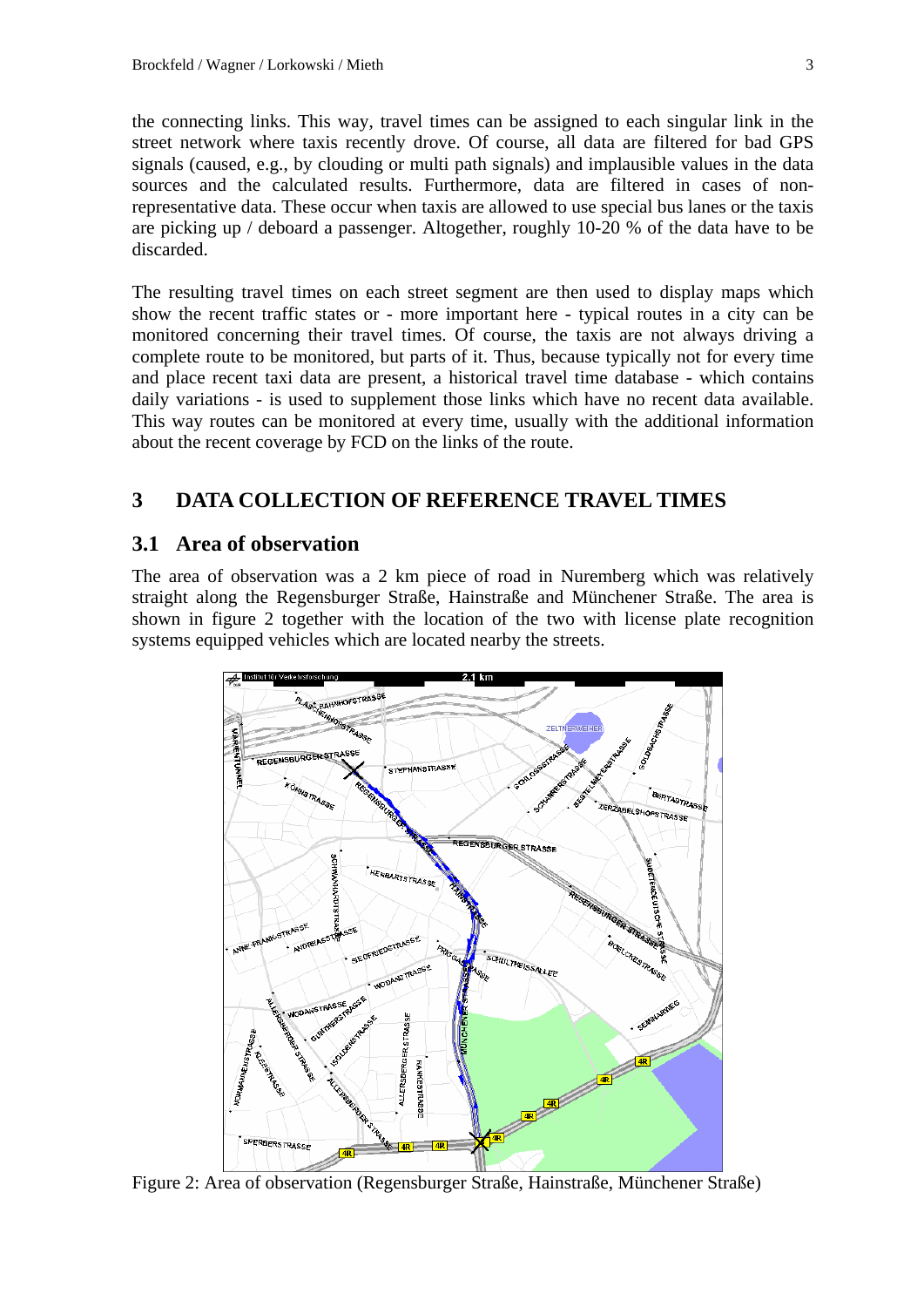the connecting links. This way, travel times can be assigned to each singular link in the street network where taxis recently drove. Of course, all data are filtered for bad GPS signals (caused, e.g., by clouding or multi path signals) and implausible values in the data sources and the calculated results. Furthermore, data are filtered in cases of nonrepresentative data. These occur when taxis are allowed to use special bus lanes or the taxis are picking up / deboard a passenger. Altogether, roughly 10-20 % of the data have to be discarded.

The resulting travel times on each street segment are then used to display maps which show the recent traffic states or - more important here - typical routes in a city can be monitored concerning their travel times. Of course, the taxis are not always driving a complete route to be monitored, but parts of it. Thus, because typically not for every time and place recent taxi data are present, a historical travel time database - which contains daily variations - is used to supplement those links which have no recent data available. This way routes can be monitored at every time, usually with the additional information about the recent coverage by FCD on the links of the route.

# **3 DATA COLLECTION OF REFERENCE TRAVEL TIMES**

# **3.1 Area of observation**

The area of observation was a 2 km piece of road in Nuremberg which was relatively straight along the Regensburger Straße, Hainstraße and Münchener Straße. The area is shown in figure 2 together with the location of the two with license plate recognition systems equipped vehicles which are located nearby the streets.



Figure 2: Area of observation (Regensburger Straße, Hainstraße, Münchener Straße)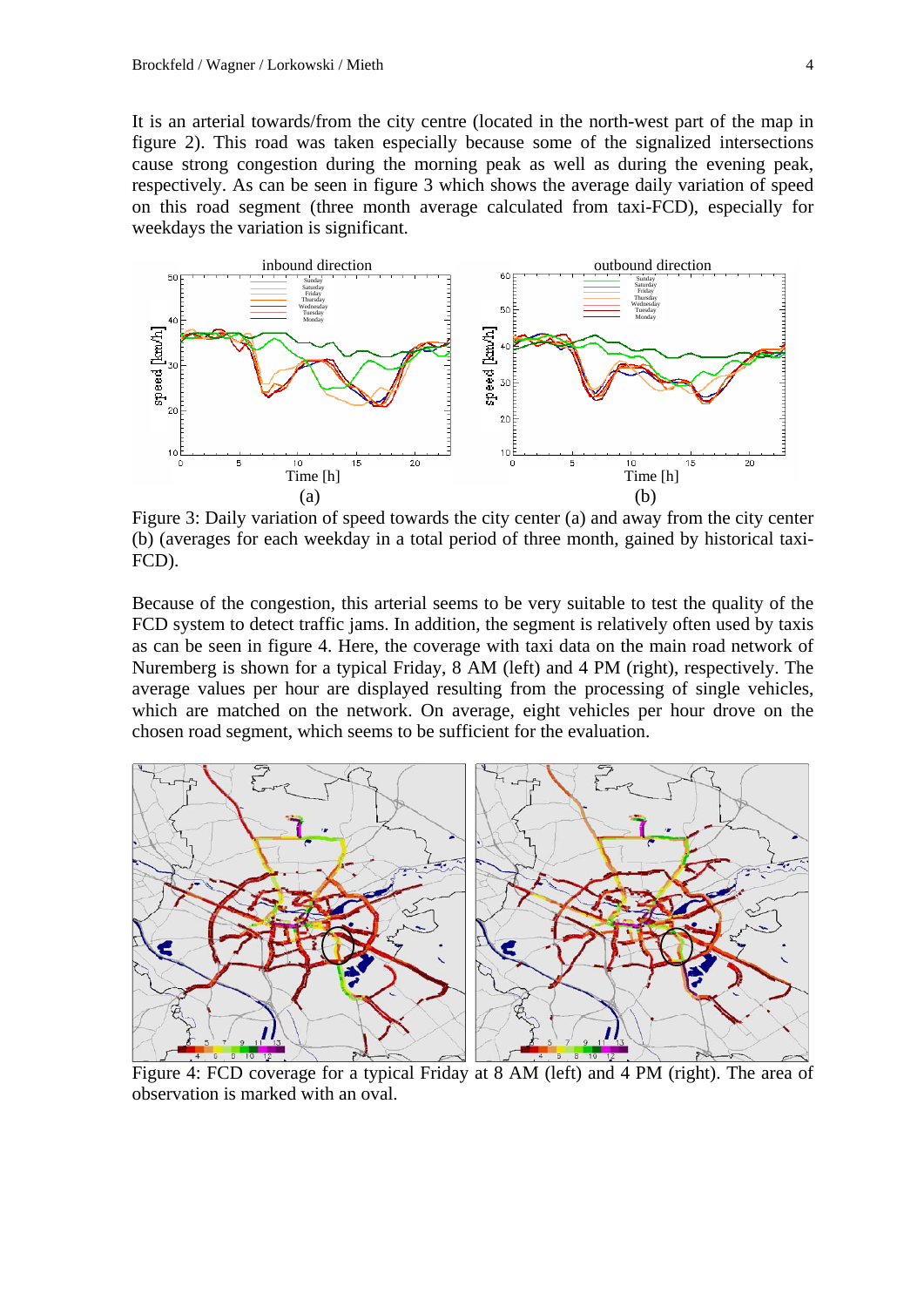It is an arterial towards/from the city centre (located in the north-west part of the map in figure 2). This road was taken especially because some of the signalized intersections cause strong congestion during the morning peak as well as during the evening peak, respectively. As can be seen in figure 3 which shows the average daily variation of speed on this road segment (three month average calculated from taxi-FCD), especially for weekdays the variation is significant.



Figure 3: Daily variation of speed towards the city center (a) and away from the city center (b) (averages for each weekday in a total period of three month, gained by historical taxi-FCD).

Because of the congestion, this arterial seems to be very suitable to test the quality of the FCD system to detect traffic jams. In addition, the segment is relatively often used by taxis as can be seen in figure 4. Here, the coverage with taxi data on the main road network of Nuremberg is shown for a typical Friday, 8 AM (left) and 4 PM (right), respectively. The average values per hour are displayed resulting from the processing of single vehicles, which are matched on the network. On average, eight vehicles per hour drove on the chosen road segment, which seems to be sufficient for the evaluation.



 Figure 4: FCD coverage for a typical Friday at 8 AM (left) and 4 PM (right). The area of observation is marked with an oval.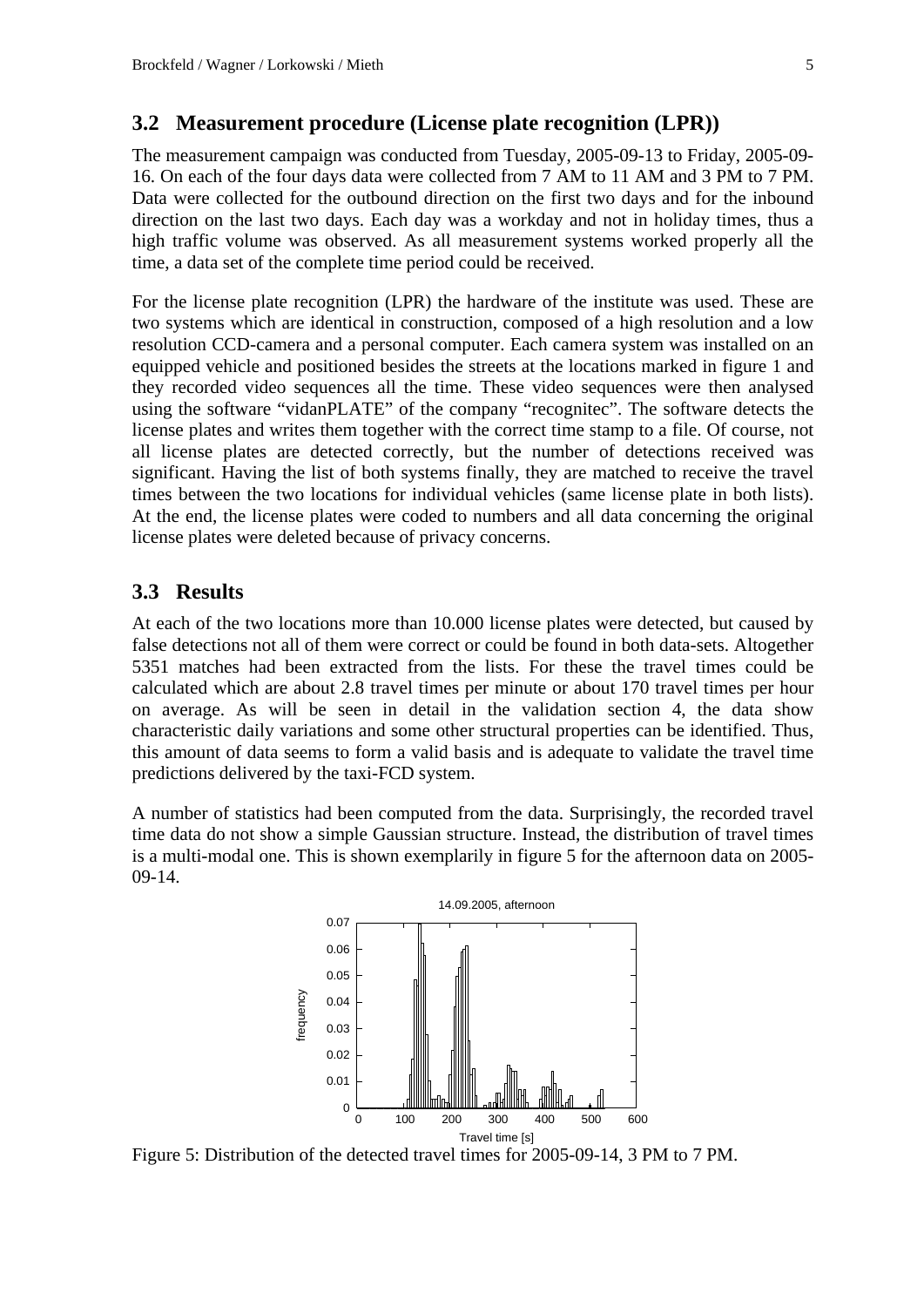#### **3.2 Measurement procedure (License plate recognition (LPR))**

The measurement campaign was conducted from Tuesday, 2005-09-13 to Friday, 2005-09- 16. On each of the four days data were collected from 7 AM to 11 AM and 3 PM to 7 PM. Data were collected for the outbound direction on the first two days and for the inbound direction on the last two days. Each day was a workday and not in holiday times, thus a high traffic volume was observed. As all measurement systems worked properly all the time, a data set of the complete time period could be received.

For the license plate recognition (LPR) the hardware of the institute was used. These are two systems which are identical in construction, composed of a high resolution and a low resolution CCD-camera and a personal computer. Each camera system was installed on an equipped vehicle and positioned besides the streets at the locations marked in figure 1 and they recorded video sequences all the time. These video sequences were then analysed using the software "vidanPLATE" of the company "recognitec". The software detects the license plates and writes them together with the correct time stamp to a file. Of course, not all license plates are detected correctly, but the number of detections received was significant. Having the list of both systems finally, they are matched to receive the travel times between the two locations for individual vehicles (same license plate in both lists). At the end, the license plates were coded to numbers and all data concerning the original license plates were deleted because of privacy concerns.

# **3.3 Results**

At each of the two locations more than 10.000 license plates were detected, but caused by false detections not all of them were correct or could be found in both data-sets. Altogether 5351 matches had been extracted from the lists. For these the travel times could be calculated which are about 2.8 travel times per minute or about 170 travel times per hour on average. As will be seen in detail in the validation section 4, the data show characteristic daily variations and some other structural properties can be identified. Thus, this amount of data seems to form a valid basis and is adequate to validate the travel time predictions delivered by the taxi-FCD system.

A number of statistics had been computed from the data. Surprisingly, the recorded travel time data do not show a simple Gaussian structure. Instead, the distribution of travel times is a multi-modal one. This is shown exemplarily in figure 5 for the afternoon data on 2005- 09-14.



Figure 5: Distribution of the detected travel times for 2005-09-14, 3 PM to 7 PM.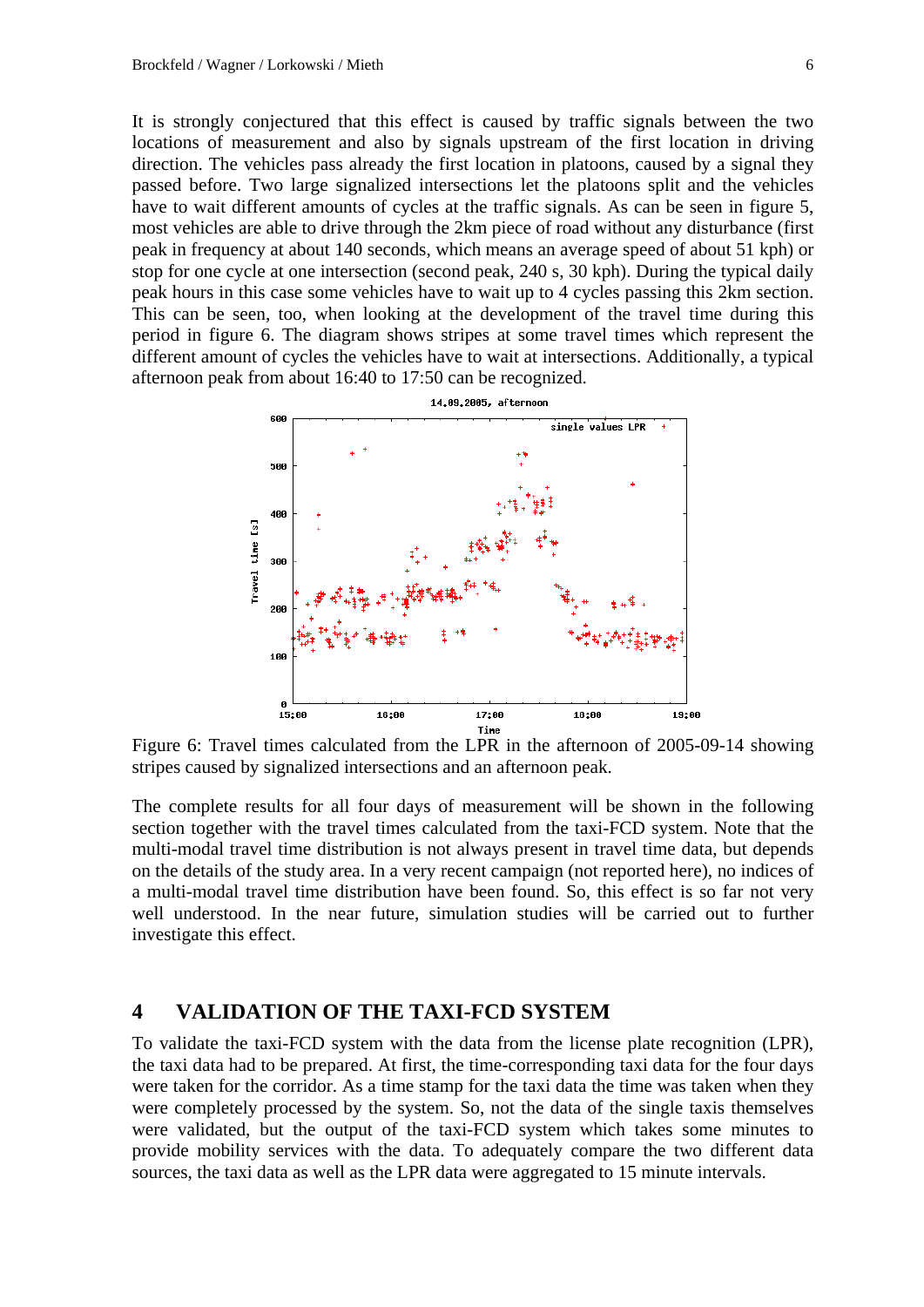It is strongly conjectured that this effect is caused by traffic signals between the two locations of measurement and also by signals upstream of the first location in driving direction. The vehicles pass already the first location in platoons, caused by a signal they passed before. Two large signalized intersections let the platoons split and the vehicles have to wait different amounts of cycles at the traffic signals. As can be seen in figure 5, most vehicles are able to drive through the 2km piece of road without any disturbance (first peak in frequency at about 140 seconds, which means an average speed of about 51 kph) or stop for one cycle at one intersection (second peak, 240 s, 30 kph). During the typical daily peak hours in this case some vehicles have to wait up to 4 cycles passing this 2km section. This can be seen, too, when looking at the development of the travel time during this period in figure 6. The diagram shows stripes at some travel times which represent the different amount of cycles the vehicles have to wait at intersections. Additionally, a typical afternoon peak from about 16:40 to 17:50 can be recognized.



Figure 6: Travel times calculated from the LPR in the afternoon of 2005-09-14 showing stripes caused by signalized intersections and an afternoon peak.

The complete results for all four days of measurement will be shown in the following section together with the travel times calculated from the taxi-FCD system. Note that the multi-modal travel time distribution is not always present in travel time data, but depends on the details of the study area. In a very recent campaign (not reported here), no indices of a multi-modal travel time distribution have been found. So, this effect is so far not very well understood. In the near future, simulation studies will be carried out to further investigate this effect.

## **4 VALIDATION OF THE TAXI-FCD SYSTEM**

To validate the taxi-FCD system with the data from the license plate recognition (LPR), the taxi data had to be prepared. At first, the time-corresponding taxi data for the four days were taken for the corridor. As a time stamp for the taxi data the time was taken when they were completely processed by the system. So, not the data of the single taxis themselves were validated, but the output of the taxi-FCD system which takes some minutes to provide mobility services with the data. To adequately compare the two different data sources, the taxi data as well as the LPR data were aggregated to 15 minute intervals.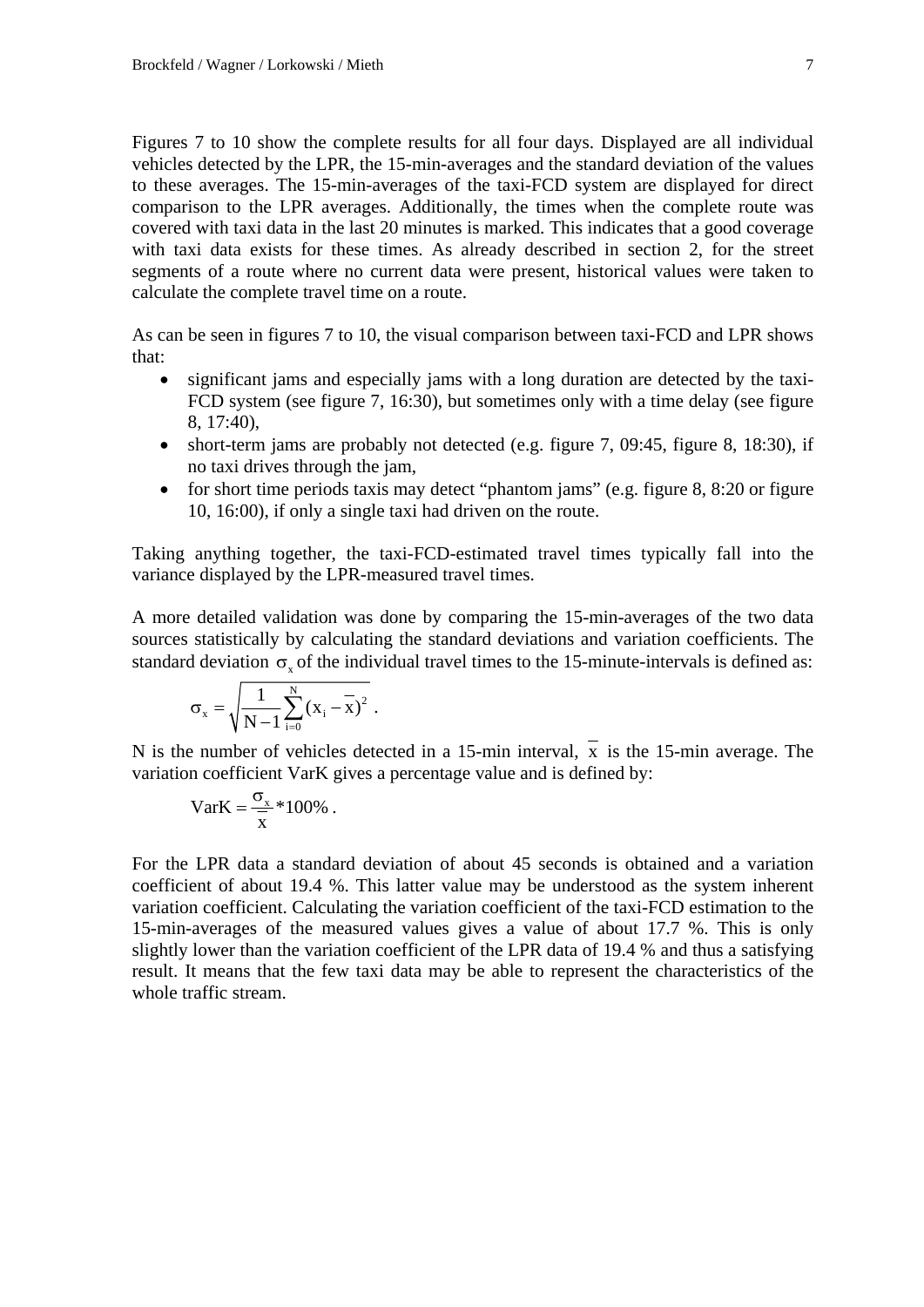Figures 7 to 10 show the complete results for all four days. Displayed are all individual vehicles detected by the LPR, the 15-min-averages and the standard deviation of the values to these averages. The 15-min-averages of the taxi-FCD system are displayed for direct comparison to the LPR averages. Additionally, the times when the complete route was covered with taxi data in the last 20 minutes is marked. This indicates that a good coverage with taxi data exists for these times. As already described in section 2, for the street segments of a route where no current data were present, historical values were taken to calculate the complete travel time on a route.

As can be seen in figures 7 to 10, the visual comparison between taxi-FCD and LPR shows that:

- significant jams and especially jams with a long duration are detected by the taxi-FCD system (see figure 7, 16:30), but sometimes only with a time delay (see figure 8, 17:40),
- short-term jams are probably not detected (e.g. figure 7, 09:45, figure 8, 18:30), if no taxi drives through the jam,
- for short time periods taxis may detect "phantom jams" (e.g. figure 8, 8:20 or figure 10, 16:00), if only a single taxi had driven on the route.

Taking anything together, the taxi-FCD-estimated travel times typically fall into the variance displayed by the LPR-measured travel times.

A more detailed validation was done by comparing the 15-min-averages of the two data sources statistically by calculating the standard deviations and variation coefficients. The standard deviation  $\sigma$ , of the individual travel times to the 15-minute-intervals is defined as:

$$
\sigma_x = \sqrt{\frac{1}{N\!-\!1} \sum_{i=0}^N \big(x_i - \overline{x}\big)^2} \ .
$$

N is the number of vehicles detected in a 15-min interval,  $\overline{x}$  is the 15-min average. The variation coefficient VarK gives a percentage value and is defined by:

$$
VarK = \frac{\sigma_x}{x} * 100\% .
$$

For the LPR data a standard deviation of about 45 seconds is obtained and a variation coefficient of about 19.4 %. This latter value may be understood as the system inherent variation coefficient. Calculating the variation coefficient of the taxi-FCD estimation to the 15-min-averages of the measured values gives a value of about 17.7 %. This is only slightly lower than the variation coefficient of the LPR data of 19.4 % and thus a satisfying result. It means that the few taxi data may be able to represent the characteristics of the whole traffic stream.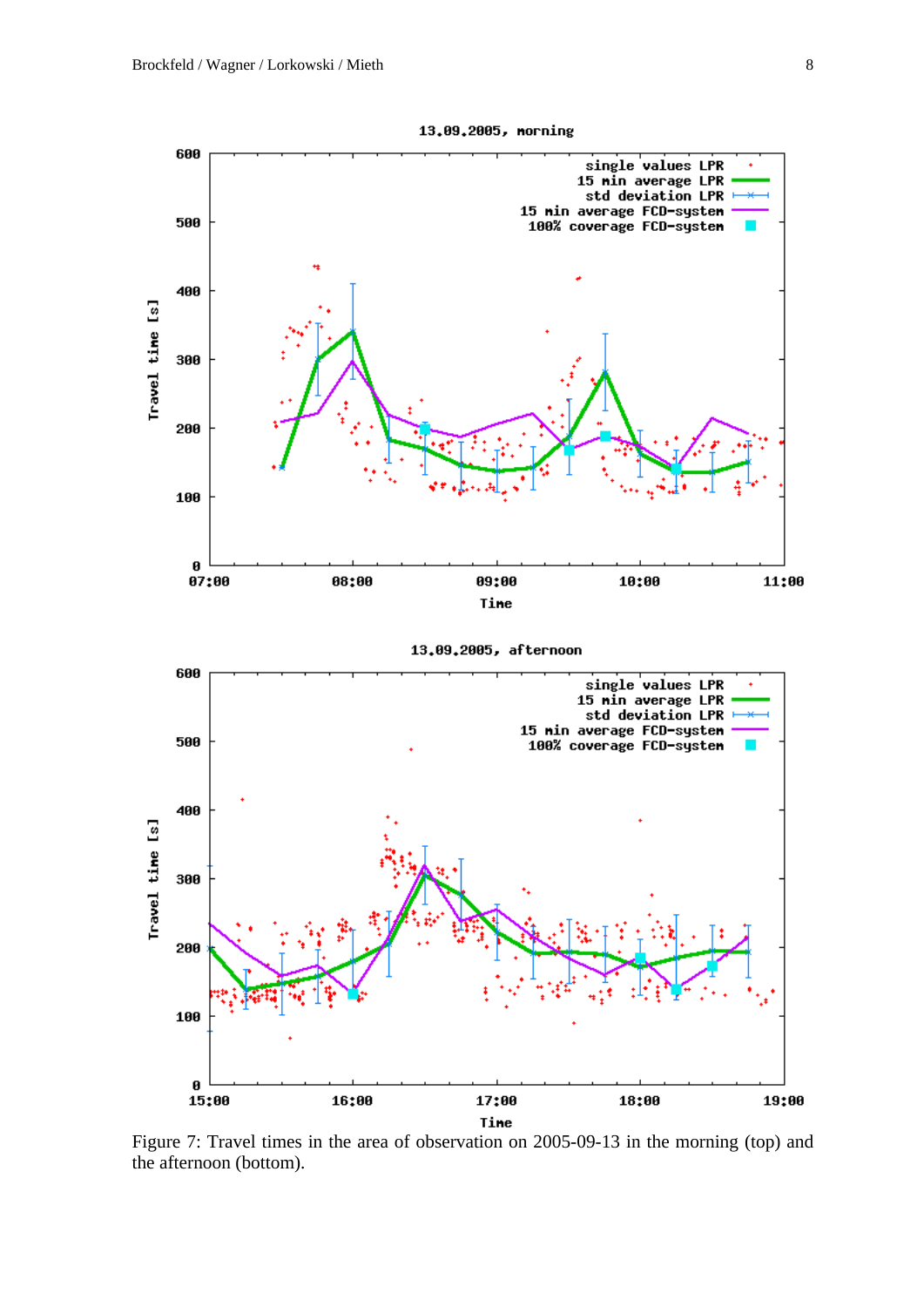

Figure 7: Travel times in the area of observation on 2005-09-13 in the morning (top) and the afternoon (bottom).

Tine

13.09.2005, morning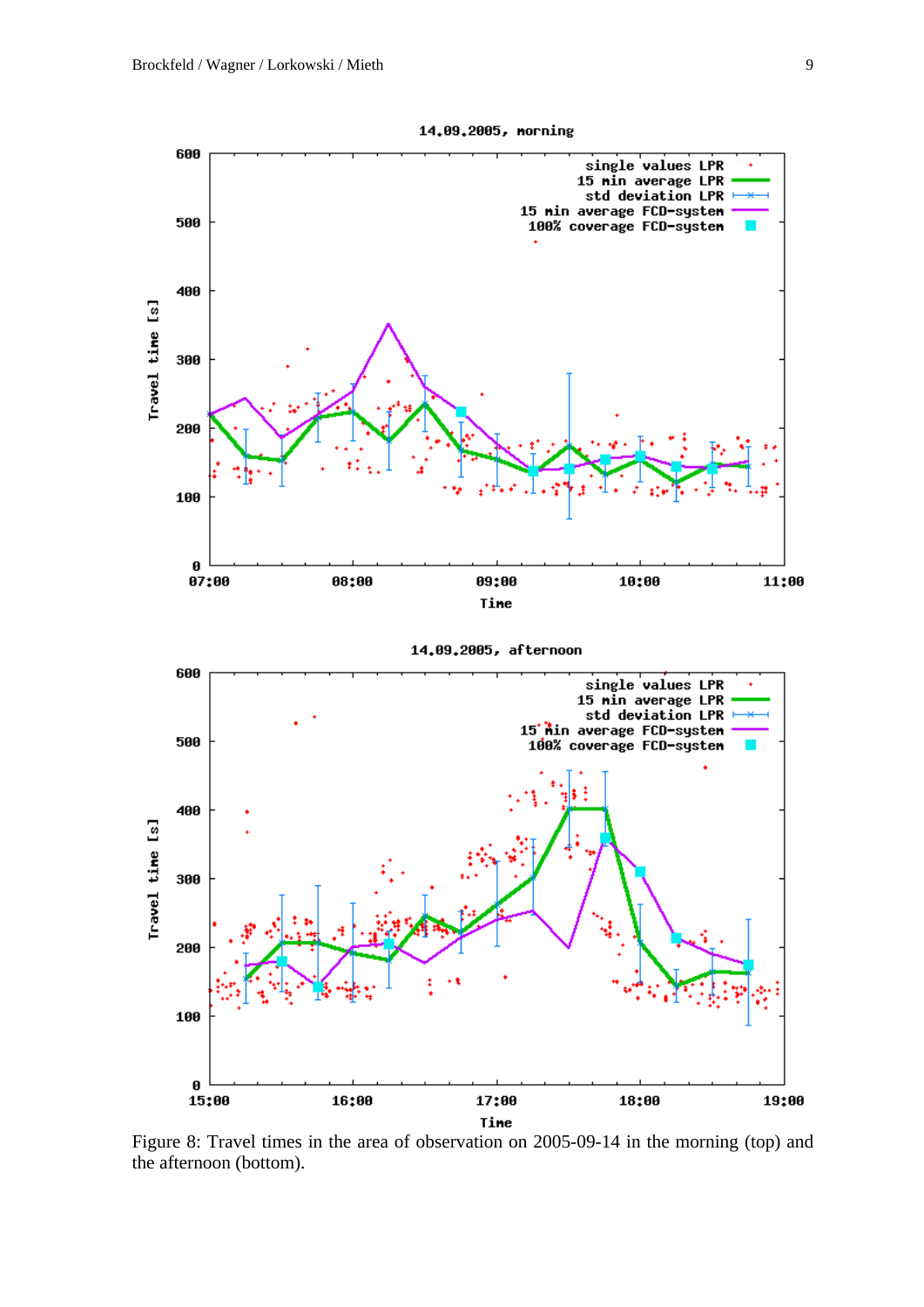

Figure 8: Travel times in the area of observation on 2005-09-14 in the morning (top) and the afternoon (bottom).

14.09.2005, morning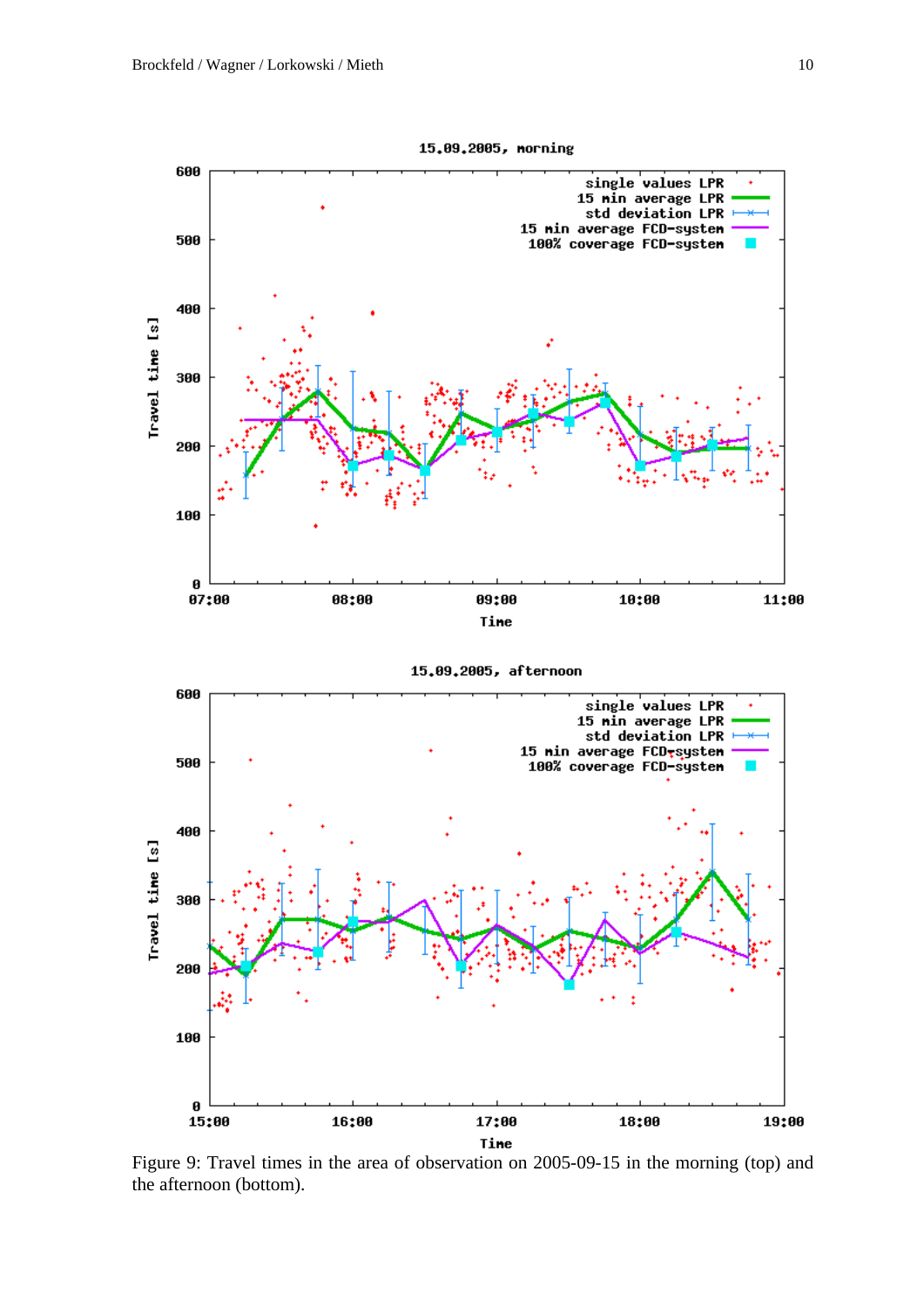600

500

400

300

200

100

 $\boldsymbol{\theta}$ 

Travel time [s]







Figure 9: Travel times in the area of observation on 2005-09-15 in the morning (top) and the afternoon (bottom).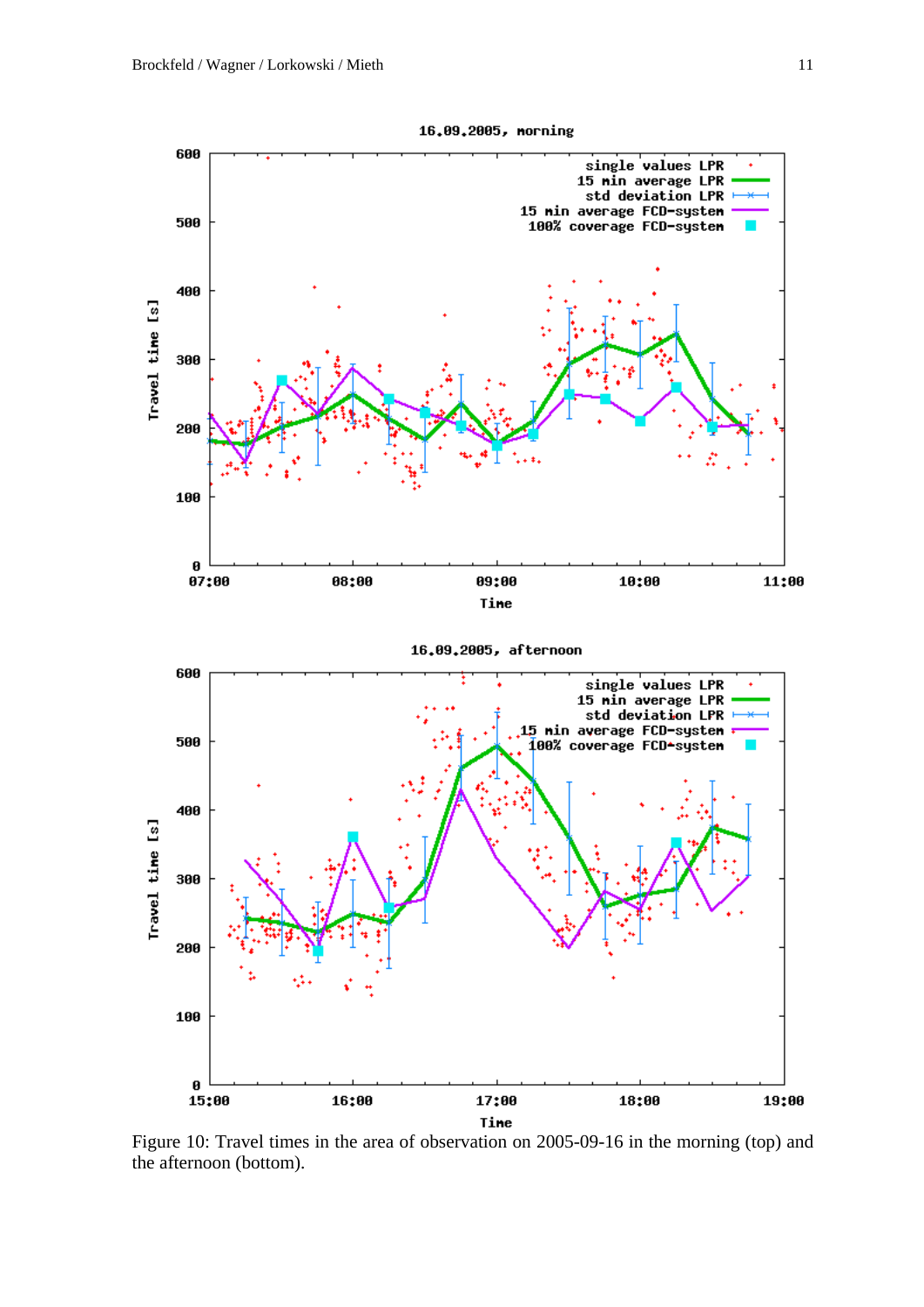

Figure 10: Travel times in the area of observation on 2005-09-16 in the morning (top) and the afternoon (bottom).

16.09.2005, morning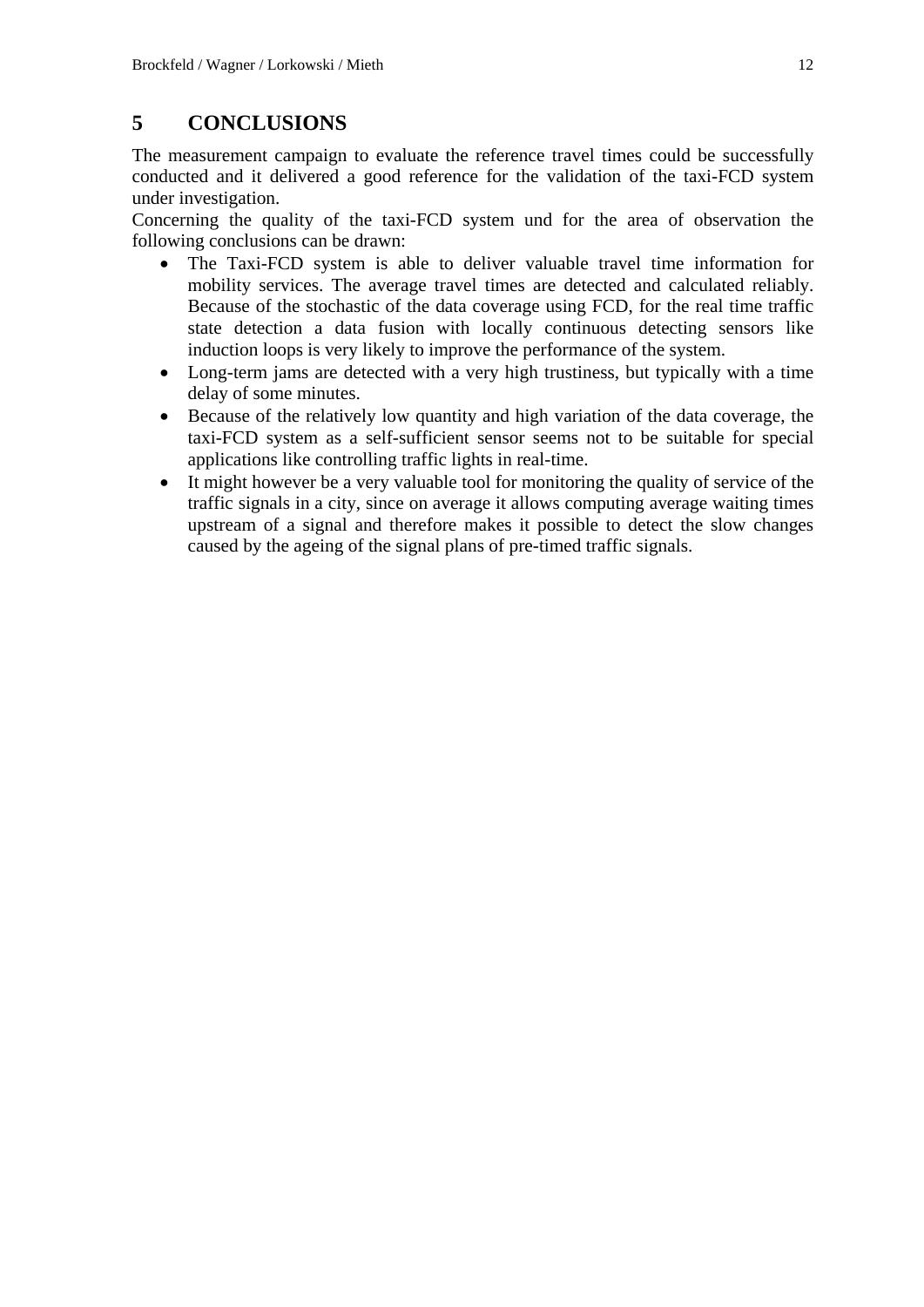# **5 CONCLUSIONS**

The measurement campaign to evaluate the reference travel times could be successfully conducted and it delivered a good reference for the validation of the taxi-FCD system under investigation.

Concerning the quality of the taxi-FCD system und for the area of observation the following conclusions can be drawn:

- The Taxi-FCD system is able to deliver valuable travel time information for mobility services. The average travel times are detected and calculated reliably. Because of the stochastic of the data coverage using FCD, for the real time traffic state detection a data fusion with locally continuous detecting sensors like induction loops is very likely to improve the performance of the system.
- Long-term jams are detected with a very high trustiness, but typically with a time delay of some minutes.
- Because of the relatively low quantity and high variation of the data coverage, the taxi-FCD system as a self-sufficient sensor seems not to be suitable for special applications like controlling traffic lights in real-time.
- It might however be a very valuable tool for monitoring the quality of service of the traffic signals in a city, since on average it allows computing average waiting times upstream of a signal and therefore makes it possible to detect the slow changes caused by the ageing of the signal plans of pre-timed traffic signals.